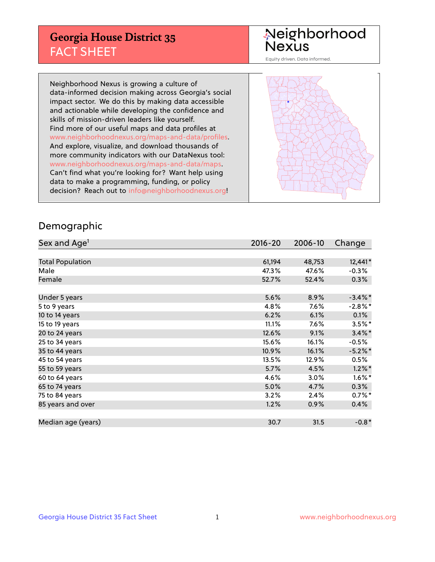## **Georgia House District 35** FACT SHEET

# Neighborhood<br>Nexus

Equity driven. Data informed.

Neighborhood Nexus is growing a culture of data-informed decision making across Georgia's social impact sector. We do this by making data accessible and actionable while developing the confidence and skills of mission-driven leaders like yourself. Find more of our useful maps and data profiles at www.neighborhoodnexus.org/maps-and-data/profiles. And explore, visualize, and download thousands of more community indicators with our DataNexus tool: www.neighborhoodnexus.org/maps-and-data/maps. Can't find what you're looking for? Want help using data to make a programming, funding, or policy decision? Reach out to [info@neighborhoodnexus.org!](mailto:info@neighborhoodnexus.org)



#### Demographic

| Sex and Age <sup>1</sup> | 2016-20 | 2006-10 | Change     |
|--------------------------|---------|---------|------------|
|                          |         |         |            |
| <b>Total Population</b>  | 61,194  | 48,753  | 12,441*    |
| Male                     | 47.3%   | 47.6%   | $-0.3%$    |
| Female                   | 52.7%   | 52.4%   | 0.3%       |
|                          |         |         |            |
| Under 5 years            | 5.6%    | 8.9%    | $-3.4\%$ * |
| 5 to 9 years             | 4.8%    | 7.6%    | $-2.8\%$ * |
| 10 to 14 years           | 6.2%    | 6.1%    | 0.1%       |
| 15 to 19 years           | 11.1%   | 7.6%    | $3.5%$ *   |
| 20 to 24 years           | 12.6%   | 9.1%    | $3.4\%$ *  |
| 25 to 34 years           | 15.6%   | 16.1%   | $-0.5%$    |
| 35 to 44 years           | 10.9%   | 16.1%   | $-5.2%$ *  |
| 45 to 54 years           | 13.5%   | 12.9%   | 0.5%       |
| 55 to 59 years           | 5.7%    | 4.5%    | $1.2\%$ *  |
| 60 to 64 years           | 4.6%    | 3.0%    | $1.6\%$ *  |
| 65 to 74 years           | 5.0%    | 4.7%    | 0.3%       |
| 75 to 84 years           | 3.2%    | 2.4%    | $0.7%$ *   |
| 85 years and over        | 1.2%    | 0.9%    | 0.4%       |
|                          |         |         |            |
| Median age (years)       | 30.7    | 31.5    | $-0.8*$    |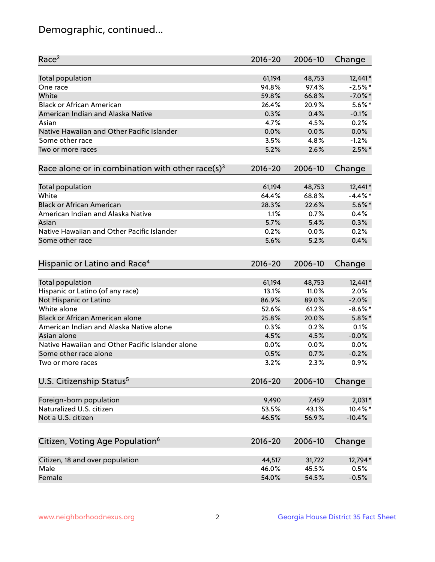## Demographic, continued...

| Race <sup>2</sup>                                            | $2016 - 20$ | 2006-10 | Change     |
|--------------------------------------------------------------|-------------|---------|------------|
| <b>Total population</b>                                      | 61,194      | 48,753  | $12,441*$  |
| One race                                                     | 94.8%       | 97.4%   | $-2.5%$ *  |
| White                                                        | 59.8%       | 66.8%   | $-7.0\%$ * |
| <b>Black or African American</b>                             | 26.4%       | 20.9%   | $5.6\%$ *  |
| American Indian and Alaska Native                            | 0.3%        | 0.4%    | $-0.1%$    |
| Asian                                                        | 4.7%        | 4.5%    | 0.2%       |
| Native Hawaiian and Other Pacific Islander                   | 0.0%        | 0.0%    | 0.0%       |
| Some other race                                              | 3.5%        | 4.8%    | $-1.2%$    |
| Two or more races                                            | 5.2%        | 2.6%    | $2.5\%$ *  |
| Race alone or in combination with other race(s) <sup>3</sup> | $2016 - 20$ | 2006-10 | Change     |
|                                                              |             |         |            |
| Total population                                             | 61,194      | 48,753  | 12,441*    |
| White                                                        | 64.4%       | 68.8%   | $-4.4\%$ * |
| <b>Black or African American</b>                             | 28.3%       | 22.6%   | $5.6\%$ *  |
| American Indian and Alaska Native                            | 1.1%        | 0.7%    | 0.4%       |
| Asian                                                        | 5.7%        | 5.4%    | 0.3%       |
| Native Hawaiian and Other Pacific Islander                   | 0.2%        | 0.0%    | 0.2%       |
| Some other race                                              | 5.6%        | 5.2%    | 0.4%       |
| Hispanic or Latino and Race <sup>4</sup>                     | $2016 - 20$ | 2006-10 | Change     |
|                                                              | 61,194      | 48,753  | $12,441*$  |
| <b>Total population</b>                                      |             | 11.0%   | 2.0%       |
| Hispanic or Latino (of any race)                             | 13.1%       |         |            |
| Not Hispanic or Latino                                       | 86.9%       | 89.0%   | $-2.0%$    |
| White alone                                                  | 52.6%       | 61.2%   | $-8.6\%$ * |
| <b>Black or African American alone</b>                       | 25.8%       | 20.0%   | $5.8\%$ *  |
| American Indian and Alaska Native alone                      | 0.3%        | 0.2%    | 0.1%       |
| Asian alone                                                  | 4.5%        | 4.5%    | $-0.0%$    |
| Native Hawaiian and Other Pacific Islander alone             | 0.0%        | 0.0%    | 0.0%       |
| Some other race alone                                        | 0.5%        | 0.7%    | $-0.2%$    |
| Two or more races                                            | 3.2%        | 2.3%    | 0.9%       |
| U.S. Citizenship Status <sup>5</sup>                         | $2016 - 20$ | 2006-10 | Change     |
| Foreign-born population                                      | 9,490       | 7,459   | $2,031*$   |
| Naturalized U.S. citizen                                     | 53.5%       | 43.1%   | 10.4%*     |
| Not a U.S. citizen                                           | 46.5%       | 56.9%   | $-10.4%$   |
|                                                              |             |         |            |
| Citizen, Voting Age Population <sup>6</sup>                  | $2016 - 20$ | 2006-10 | Change     |
| Citizen, 18 and over population                              | 44,517      | 31,722  | 12,794*    |
| Male                                                         | 46.0%       | 45.5%   | 0.5%       |
| Female                                                       | 54.0%       | 54.5%   | $-0.5%$    |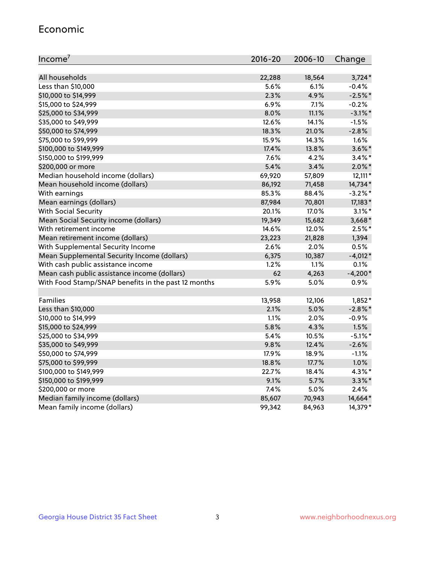#### Economic

| Income <sup>7</sup>                                 | $2016 - 20$ | 2006-10 | Change     |
|-----------------------------------------------------|-------------|---------|------------|
|                                                     |             |         |            |
| All households                                      | 22,288      | 18,564  | $3,724*$   |
| Less than \$10,000                                  | 5.6%        | 6.1%    | $-0.4%$    |
| \$10,000 to \$14,999                                | 2.3%        | 4.9%    | $-2.5%$ *  |
| \$15,000 to \$24,999                                | 6.9%        | 7.1%    | $-0.2%$    |
| \$25,000 to \$34,999                                | 8.0%        | 11.1%   | $-3.1\%$ * |
| \$35,000 to \$49,999                                | 12.6%       | 14.1%   | $-1.5%$    |
| \$50,000 to \$74,999                                | 18.3%       | 21.0%   | $-2.8%$    |
| \$75,000 to \$99,999                                | 15.9%       | 14.3%   | 1.6%       |
| \$100,000 to \$149,999                              | 17.4%       | 13.8%   | $3.6\%$ *  |
| \$150,000 to \$199,999                              | 7.6%        | 4.2%    | $3.4\%$ *  |
| \$200,000 or more                                   | 5.4%        | 3.4%    | $2.0\%$ *  |
| Median household income (dollars)                   | 69,920      | 57,809  | $12,111*$  |
| Mean household income (dollars)                     | 86,192      | 71,458  | 14,734*    |
| With earnings                                       | 85.3%       | 88.4%   | $-3.2\%$ * |
| Mean earnings (dollars)                             | 87,984      | 70,801  | 17,183*    |
| <b>With Social Security</b>                         | 20.1%       | 17.0%   | $3.1\%$ *  |
| Mean Social Security income (dollars)               | 19,349      | 15,682  | $3,668*$   |
| With retirement income                              | 14.6%       | 12.0%   | $2.5%$ *   |
| Mean retirement income (dollars)                    | 23,223      | 21,828  | 1,394      |
| With Supplemental Security Income                   | 2.6%        | 2.0%    | 0.5%       |
| Mean Supplemental Security Income (dollars)         | 6,375       | 10,387  | $-4,012*$  |
| With cash public assistance income                  | 1.2%        | 1.1%    | $0.1\%$    |
| Mean cash public assistance income (dollars)        | 62          | 4,263   | $-4,200*$  |
| With Food Stamp/SNAP benefits in the past 12 months | 5.9%        | 5.0%    | 0.9%       |
|                                                     |             |         |            |
| Families                                            | 13,958      | 12,106  | $1,852*$   |
| Less than \$10,000                                  | 2.1%        | 5.0%    | $-2.8\%$ * |
| \$10,000 to \$14,999                                | 1.1%        | 2.0%    | $-0.9%$    |
| \$15,000 to \$24,999                                | 5.8%        | 4.3%    | 1.5%       |
| \$25,000 to \$34,999                                | 5.4%        | 10.5%   | $-5.1\%$ * |
| \$35,000 to \$49,999                                | 9.8%        | 12.4%   | $-2.6%$    |
| \$50,000 to \$74,999                                | 17.9%       | 18.9%   | $-1.1%$    |
| \$75,000 to \$99,999                                | 18.8%       | 17.7%   | 1.0%       |
| \$100,000 to \$149,999                              | 22.7%       | 18.4%   | $4.3\%$ *  |
| \$150,000 to \$199,999                              | 9.1%        | 5.7%    | $3.3\%$ *  |
| \$200,000 or more                                   | 7.4%        | 5.0%    | 2.4%       |
| Median family income (dollars)                      | 85,607      | 70,943  | 14,664*    |
| Mean family income (dollars)                        | 99,342      | 84,963  | 14,379*    |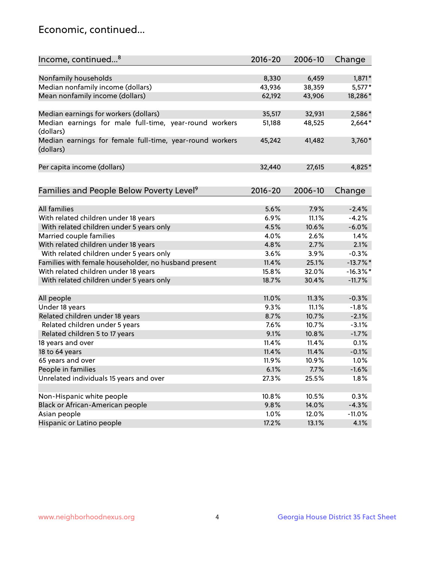## Economic, continued...

| Income, continued <sup>8</sup>                           | $2016 - 20$ | 2006-10 | Change      |
|----------------------------------------------------------|-------------|---------|-------------|
|                                                          |             |         |             |
| Nonfamily households                                     | 8,330       | 6,459   | $1,871*$    |
| Median nonfamily income (dollars)                        | 43,936      | 38,359  | $5,577*$    |
| Mean nonfamily income (dollars)                          | 62,192      | 43,906  | 18,286*     |
| Median earnings for workers (dollars)                    | 35,517      | 32,931  | 2,586*      |
| Median earnings for male full-time, year-round workers   | 51,188      | 48,525  | 2,664*      |
| (dollars)                                                |             |         |             |
| Median earnings for female full-time, year-round workers | 45,242      | 41,482  | $3,760*$    |
| (dollars)                                                |             |         |             |
| Per capita income (dollars)                              | 32,440      | 27,615  | 4,825*      |
|                                                          |             |         |             |
| Families and People Below Poverty Level <sup>9</sup>     | $2016 - 20$ | 2006-10 | Change      |
|                                                          |             |         |             |
| <b>All families</b>                                      | 5.6%        | 7.9%    | $-2.4%$     |
| With related children under 18 years                     | 6.9%        | 11.1%   | $-4.2%$     |
| With related children under 5 years only                 | 4.5%        | 10.6%   | $-6.0%$     |
| Married couple families                                  | 4.0%        | 2.6%    | 1.4%        |
| With related children under 18 years                     | 4.8%        | 2.7%    | 2.1%        |
| With related children under 5 years only                 | 3.6%        | 3.9%    | $-0.3%$     |
| Families with female householder, no husband present     | 11.4%       | 25.1%   | $-13.7%$    |
| With related children under 18 years                     | 15.8%       | 32.0%   | $-16.3\%$ * |
| With related children under 5 years only                 | 18.7%       | 30.4%   | $-11.7%$    |
|                                                          |             |         |             |
| All people                                               | 11.0%       | 11.3%   | $-0.3%$     |
| Under 18 years                                           | 9.3%        | 11.1%   | $-1.8%$     |
| Related children under 18 years                          | 8.7%        | 10.7%   | $-2.1%$     |
| Related children under 5 years                           | 7.6%        | 10.7%   | $-3.1%$     |
| Related children 5 to 17 years                           | 9.1%        | 10.8%   | $-1.7%$     |
| 18 years and over                                        | 11.4%       | 11.4%   | 0.1%        |
| 18 to 64 years                                           | 11.4%       | 11.4%   | $-0.1%$     |
| 65 years and over                                        | 11.9%       | 10.9%   | 1.0%        |
| People in families                                       | 6.1%        | 7.7%    | $-1.6%$     |
| Unrelated individuals 15 years and over                  | 27.3%       | 25.5%   | 1.8%        |
|                                                          |             |         |             |
| Non-Hispanic white people                                | 10.8%       | 10.5%   | 0.3%        |
| Black or African-American people                         | 9.8%        | 14.0%   | $-4.3%$     |
| Asian people                                             | 1.0%        | 12.0%   | $-11.0%$    |
| Hispanic or Latino people                                | 17.2%       | 13.1%   | 4.1%        |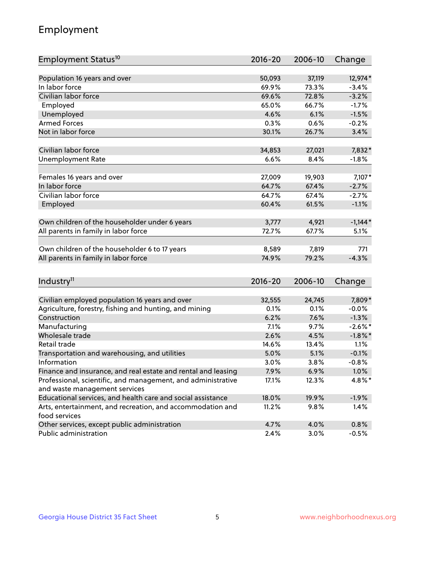## Employment

| Employment Status <sup>10</sup>                                             | 2016-20     | 2006-10 | Change     |
|-----------------------------------------------------------------------------|-------------|---------|------------|
|                                                                             |             |         |            |
| Population 16 years and over                                                | 50,093      | 37,119  | 12,974*    |
| In labor force                                                              | 69.9%       | 73.3%   | $-3.4%$    |
| Civilian labor force                                                        | 69.6%       | 72.8%   | $-3.2%$    |
| Employed                                                                    | 65.0%       | 66.7%   | $-1.7%$    |
| Unemployed                                                                  | 4.6%        | 6.1%    | $-1.5%$    |
| <b>Armed Forces</b>                                                         | 0.3%        | 0.6%    | $-0.2%$    |
| Not in labor force                                                          | 30.1%       | 26.7%   | 3.4%       |
| Civilian labor force                                                        | 34,853      | 27,021  | 7,832*     |
| <b>Unemployment Rate</b>                                                    | 6.6%        | 8.4%    | $-1.8%$    |
|                                                                             |             |         |            |
| Females 16 years and over                                                   | 27,009      | 19,903  | 7,107*     |
| In labor force                                                              | 64.7%       | 67.4%   | $-2.7%$    |
| Civilian labor force                                                        | 64.7%       | 67.4%   | $-2.7%$    |
| Employed                                                                    | 60.4%       | 61.5%   | $-1.1%$    |
|                                                                             |             |         |            |
| Own children of the householder under 6 years                               | 3,777       | 4,921   | $-1,144*$  |
| All parents in family in labor force                                        | 72.7%       | 67.7%   | 5.1%       |
| Own children of the householder 6 to 17 years                               | 8,589       | 7,819   | 771        |
| All parents in family in labor force                                        | 74.9%       | 79.2%   | $-4.3%$    |
|                                                                             |             |         |            |
| Industry <sup>11</sup>                                                      | $2016 - 20$ | 2006-10 | Change     |
|                                                                             |             |         |            |
| Civilian employed population 16 years and over                              | 32,555      | 24,745  | 7,809*     |
| Agriculture, forestry, fishing and hunting, and mining                      | 0.1%        | 0.1%    | $-0.0%$    |
| Construction                                                                | 6.2%        | 7.6%    | $-1.3%$    |
| Manufacturing                                                               | 7.1%        | 9.7%    | $-2.6\%$ * |
| Wholesale trade                                                             | 2.6%        | 4.5%    | $-1.8\%$ * |
| Retail trade                                                                | 14.6%       | 13.4%   | 1.1%       |
| Transportation and warehousing, and utilities                               | 5.0%        | 5.1%    | $-0.1%$    |
| Information                                                                 | 3.0%        | 3.8%    | $-0.8%$    |
| Finance and insurance, and real estate and rental and leasing               | 7.9%        | 6.9%    | 1.0%       |
| Professional, scientific, and management, and administrative                | 17.1%       | 12.3%   | 4.8%*      |
| and waste management services                                               |             |         |            |
| Educational services, and health care and social assistance                 | 18.0%       | 19.9%   | $-1.9%$    |
| Arts, entertainment, and recreation, and accommodation and<br>food services | 11.2%       | 9.8%    | 1.4%       |
| Other services, except public administration                                | 4.7%        | 4.0%    | 0.8%       |
| Public administration                                                       | 2.4%        | 3.0%    | $-0.5%$    |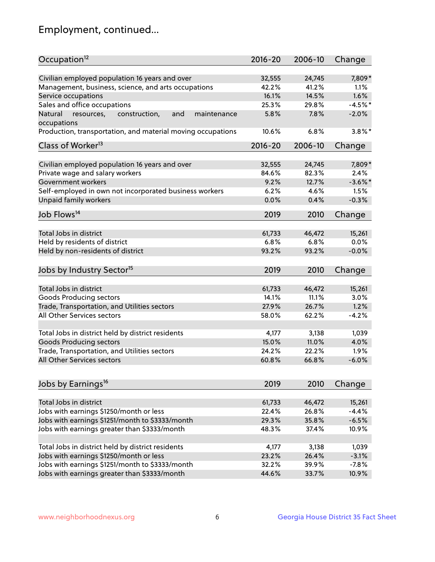## Employment, continued...

| Occupation <sup>12</sup>                                    | $2016 - 20$ | 2006-10 | Change     |
|-------------------------------------------------------------|-------------|---------|------------|
| Civilian employed population 16 years and over              | 32,555      | 24,745  | 7,809*     |
| Management, business, science, and arts occupations         | 42.2%       | 41.2%   | 1.1%       |
| Service occupations                                         | 16.1%       | 14.5%   | 1.6%       |
| Sales and office occupations                                | 25.3%       | 29.8%   | $-4.5%$ *  |
| Natural<br>and<br>maintenance                               | 5.8%        | 7.8%    | $-2.0%$    |
| resources,<br>construction,<br>occupations                  |             |         |            |
| Production, transportation, and material moving occupations | 10.6%       | 6.8%    | $3.8\%$ *  |
| Class of Worker <sup>13</sup>                               | $2016 - 20$ | 2006-10 | Change     |
| Civilian employed population 16 years and over              | 32,555      | 24,745  | 7,809*     |
| Private wage and salary workers                             | 84.6%       | 82.3%   | 2.4%       |
| Government workers                                          | 9.2%        | 12.7%   | $-3.6\%$ * |
| Self-employed in own not incorporated business workers      | 6.2%        | 4.6%    | 1.5%       |
| Unpaid family workers                                       | 0.0%        | 0.4%    | $-0.3%$    |
| Job Flows <sup>14</sup>                                     | 2019        | 2010    | Change     |
|                                                             |             |         |            |
| Total Jobs in district                                      | 61,733      | 46,472  | 15,261     |
| Held by residents of district                               | 6.8%        | 6.8%    | 0.0%       |
| Held by non-residents of district                           | 93.2%       | 93.2%   | $-0.0%$    |
| Jobs by Industry Sector <sup>15</sup>                       | 2019        | 2010    | Change     |
| Total Jobs in district                                      | 61,733      | 46,472  | 15,261     |
| Goods Producing sectors                                     | 14.1%       | 11.1%   | 3.0%       |
| Trade, Transportation, and Utilities sectors                | 27.9%       | 26.7%   | 1.2%       |
| All Other Services sectors                                  | 58.0%       | 62.2%   | $-4.2%$    |
|                                                             |             |         |            |
| Total Jobs in district held by district residents           | 4,177       | 3,138   | 1,039      |
| <b>Goods Producing sectors</b>                              | 15.0%       | 11.0%   | 4.0%       |
| Trade, Transportation, and Utilities sectors                | 24.2%       | 22.2%   | 1.9%       |
| All Other Services sectors                                  | 60.8%       | 66.8%   | $-6.0%$    |
|                                                             |             |         |            |
| Jobs by Earnings <sup>16</sup>                              | 2019        | 2010    | Change     |
| Total Jobs in district                                      | 61,733      | 46,472  | 15,261     |
| Jobs with earnings \$1250/month or less                     | 22.4%       | 26.8%   | $-4.4%$    |
| Jobs with earnings \$1251/month to \$3333/month             | 29.3%       | 35.8%   | $-6.5%$    |
| Jobs with earnings greater than \$3333/month                | 48.3%       | 37.4%   | 10.9%      |
|                                                             |             |         |            |
| Total Jobs in district held by district residents           | 4,177       | 3,138   | 1,039      |
| Jobs with earnings \$1250/month or less                     | 23.2%       | 26.4%   | $-3.1%$    |
| Jobs with earnings \$1251/month to \$3333/month             | 32.2%       | 39.9%   | $-7.8%$    |
| Jobs with earnings greater than \$3333/month                | 44.6%       | 33.7%   | 10.9%      |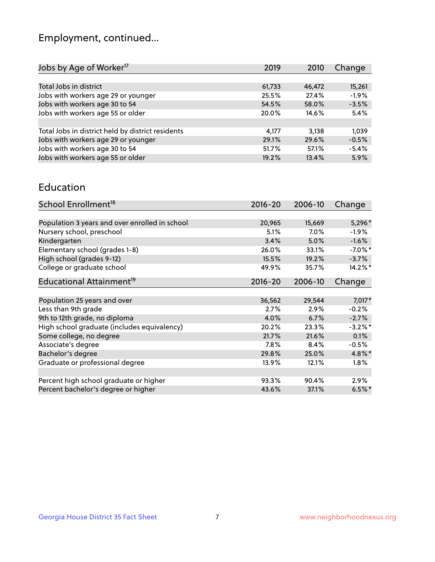## Employment, continued...

| Jobs by Age of Worker <sup>17</sup>               | 2019   | 2010   | Change  |
|---------------------------------------------------|--------|--------|---------|
|                                                   |        |        |         |
| Total Jobs in district                            | 61,733 | 46,472 | 15,261  |
| Jobs with workers age 29 or younger               | 25.5%  | 27.4%  | $-1.9%$ |
| Jobs with workers age 30 to 54                    | 54.5%  | 58.0%  | $-3.5%$ |
| Jobs with workers age 55 or older                 | 20.0%  | 14.6%  | 5.4%    |
|                                                   |        |        |         |
| Total Jobs in district held by district residents | 4,177  | 3,138  | 1,039   |
| Jobs with workers age 29 or younger               | 29.1%  | 29.6%  | $-0.5%$ |
| Jobs with workers age 30 to 54                    | 51.7%  | 57.1%  | $-5.4%$ |
| Jobs with workers age 55 or older                 | 19.2%  | 13.4%  | 5.9%    |
|                                                   |        |        |         |

#### Education

| School Enrollment <sup>18</sup>                | $2016 - 20$ | 2006-10 | Change     |
|------------------------------------------------|-------------|---------|------------|
|                                                |             |         |            |
| Population 3 years and over enrolled in school | 20,965      | 15,669  | 5,296*     |
| Nursery school, preschool                      | 5.1%        | 7.0%    | $-1.9\%$   |
| Kindergarten                                   | 3.4%        | 5.0%    | $-1.6%$    |
| Elementary school (grades 1-8)                 | 26.0%       | 33.1%   | $-7.0\%$ * |
| High school (grades 9-12)                      | 15.5%       | 19.2%   | $-3.7%$    |
| College or graduate school                     | 49.9%       | 35.7%   | 14.2%*     |
| Educational Attainment <sup>19</sup>           | $2016 - 20$ | 2006-10 | Change     |
|                                                |             |         |            |
| Population 25 years and over                   | 36,562      | 29,544  | $7,017*$   |
| Less than 9th grade                            | 2.7%        | 2.9%    | $-0.2%$    |
| 9th to 12th grade, no diploma                  | 4.0%        | 6.7%    | $-2.7%$    |
| High school graduate (includes equivalency)    | 20.2%       | 23.3%   | $-3.2\%$ * |
| Some college, no degree                        | 21.7%       | 21.6%   | 0.1%       |
| Associate's degree                             | 7.8%        | 8.4%    | $-0.5%$    |
| Bachelor's degree                              | 29.8%       | 25.0%   | 4.8%*      |
| Graduate or professional degree                | 13.9%       | 12.1%   | $1.8\%$    |
|                                                |             |         |            |
| Percent high school graduate or higher         | 93.3%       | 90.4%   | 2.9%       |
| Percent bachelor's degree or higher            | 43.6%       | 37.1%   | $6.5%$ *   |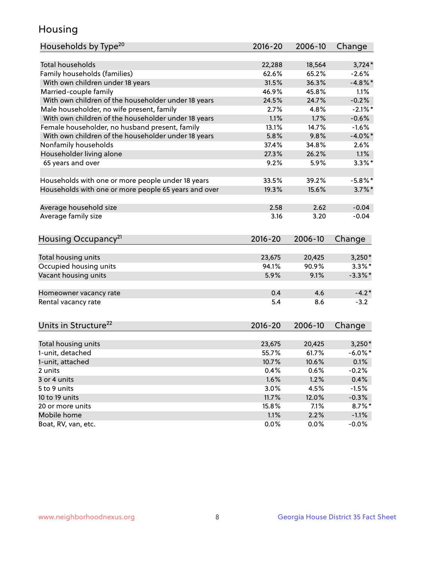## Housing

| Households by Type <sup>20</sup>                     | 2016-20 | 2006-10 | Change     |
|------------------------------------------------------|---------|---------|------------|
|                                                      |         |         |            |
| <b>Total households</b>                              | 22,288  | 18,564  | $3,724*$   |
| Family households (families)                         | 62.6%   | 65.2%   | $-2.6%$    |
| With own children under 18 years                     | 31.5%   | 36.3%   | $-4.8\%$ * |
| Married-couple family                                | 46.9%   | 45.8%   | 1.1%       |
| With own children of the householder under 18 years  | 24.5%   | 24.7%   | $-0.2%$    |
| Male householder, no wife present, family            | 2.7%    | 4.8%    | $-2.1\%$ * |
| With own children of the householder under 18 years  | 1.1%    | 1.7%    | $-0.6%$    |
| Female householder, no husband present, family       | 13.1%   | 14.7%   | $-1.6%$    |
| With own children of the householder under 18 years  | 5.8%    | 9.8%    | $-4.0\%$ * |
| Nonfamily households                                 | 37.4%   | 34.8%   | 2.6%       |
| Householder living alone                             | 27.3%   | 26.2%   | 1.1%       |
| 65 years and over                                    | 9.2%    | 5.9%    | $3.3\%$ *  |
|                                                      |         |         |            |
| Households with one or more people under 18 years    | 33.5%   | 39.2%   | $-5.8\%$ * |
| Households with one or more people 65 years and over | 19.3%   | 15.6%   | $3.7\%$ *  |
|                                                      |         |         |            |
| Average household size                               | 2.58    | 2.62    | $-0.04$    |
| Average family size                                  | 3.16    | 3.20    | $-0.04$    |
|                                                      |         |         |            |
| Housing Occupancy <sup>21</sup>                      | 2016-20 | 2006-10 | Change     |
|                                                      |         |         |            |
| Total housing units                                  | 23,675  | 20,425  | $3,250*$   |
| Occupied housing units                               | 94.1%   | 90.9%   | $3.3\%$ *  |
| Vacant housing units                                 | 5.9%    | 9.1%    | $-3.3\%$ * |
|                                                      |         |         |            |
| Homeowner vacancy rate                               | 0.4     | 4.6     | $-4.2*$    |
| Rental vacancy rate                                  | 5.4     | 8.6     | $-3.2$     |
|                                                      |         |         |            |
| Units in Structure <sup>22</sup>                     | 2016-20 | 2006-10 | Change     |
|                                                      |         |         |            |
| Total housing units                                  | 23,675  | 20,425  | $3,250*$   |
| 1-unit, detached                                     | 55.7%   | 61.7%   | $-6.0\%$ * |
| 1-unit, attached                                     | 10.7%   | 10.6%   | 0.1%       |
| 2 units                                              | 0.4%    | 0.6%    | $-0.2%$    |
| 3 or 4 units                                         | 1.6%    | 1.2%    | 0.4%       |
| 5 to 9 units                                         | 3.0%    | 4.5%    | $-1.5%$    |
| 10 to 19 units                                       | 11.7%   | 12.0%   | $-0.3%$    |
| 20 or more units                                     | 15.8%   | 7.1%    | $8.7\%$ *  |
| Mobile home                                          | 1.1%    | 2.2%    | $-1.1%$    |
| Boat, RV, van, etc.                                  | 0.0%    | 0.0%    | $-0.0%$    |
|                                                      |         |         |            |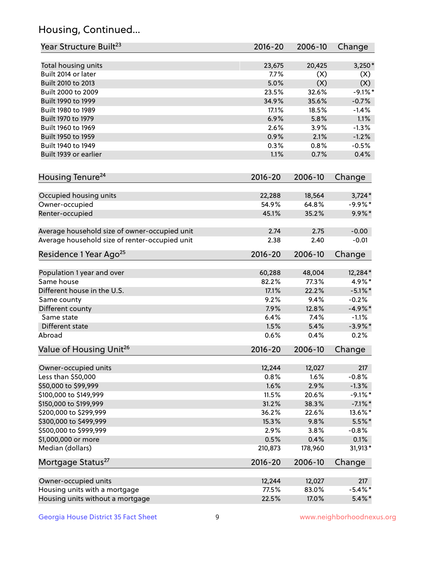## Housing, Continued...

| Year Structure Built <sup>23</sup>             | 2016-20         | 2006-10         | Change            |
|------------------------------------------------|-----------------|-----------------|-------------------|
| Total housing units                            | 23,675          | 20,425          | $3,250*$          |
| Built 2014 or later                            | 7.7%            | (X)             | (X)               |
| Built 2010 to 2013                             | 5.0%            | (X)             | (X)               |
| Built 2000 to 2009                             | 23.5%           | 32.6%           | $-9.1\%$ *        |
| Built 1990 to 1999                             | 34.9%           | 35.6%           | $-0.7%$           |
| Built 1980 to 1989                             | 17.1%           | 18.5%           | $-1.4%$           |
| Built 1970 to 1979                             | 6.9%            | 5.8%            | 1.1%              |
| Built 1960 to 1969                             | 2.6%            | 3.9%            | $-1.3%$           |
| Built 1950 to 1959                             | 0.9%            | 2.1%            | $-1.2%$           |
| Built 1940 to 1949                             | 0.3%            | 0.8%            | $-0.5%$           |
| Built 1939 or earlier                          | 1.1%            | 0.7%            | 0.4%              |
| Housing Tenure <sup>24</sup>                   | $2016 - 20$     | 2006-10         | Change            |
|                                                |                 |                 |                   |
| Occupied housing units                         | 22,288          | 18,564          | $3,724*$          |
| Owner-occupied                                 | 54.9%           | 64.8%           | $-9.9%$ *         |
| Renter-occupied                                | 45.1%           | 35.2%           | $9.9\%*$          |
| Average household size of owner-occupied unit  | 2.74            | 2.75            | $-0.00$           |
| Average household size of renter-occupied unit | 2.38            | 2.40            | $-0.01$           |
| Residence 1 Year Ago <sup>25</sup>             | $2016 - 20$     | 2006-10         | Change            |
| Population 1 year and over                     | 60,288          | 48,004          | 12,284*           |
| Same house                                     | 82.2%           | 77.3%           | 4.9%*             |
| Different house in the U.S.                    | 17.1%           | 22.2%           | $-5.1\%$ *        |
| Same county                                    | 9.2%            | 9.4%            | $-0.2%$           |
| Different county                               | 7.9%            | 12.8%           | $-4.9%$ *         |
| Same state                                     | 6.4%            | 7.4%            | $-1.1%$           |
| Different state                                | 1.5%            | 5.4%            | $-3.9\%$ *        |
| Abroad                                         | 0.6%            | 0.4%            | 0.2%              |
| Value of Housing Unit <sup>26</sup>            | $2016 - 20$     | 2006-10         | Change            |
| Owner-occupied units                           | 12,244          | 12,027          | 217               |
| Less than \$50,000                             | 0.8%            | 1.6%            | $-0.8%$           |
| \$50,000 to \$99,999                           | 1.6%            | 2.9%            | $-1.3%$           |
| \$100,000 to \$149,999                         | 11.5%           | 20.6%           | $-9.1\%$ *        |
| \$150,000 to \$199,999                         | 31.2%           | 38.3%           | $-7.1\%$ *        |
| \$200,000 to \$299,999                         | 36.2%           | 22.6%           | 13.6%*            |
| \$300,000 to \$499,999                         | 15.3%           | 9.8%            | $5.5%$ *          |
| \$500,000 to \$999,999                         | 2.9%            | 3.8%            | $-0.8%$           |
| \$1,000,000 or more                            | 0.5%            | 0.4%            | 0.1%              |
| Median (dollars)                               | 210,873         | 178,960         | 31,913*           |
| Mortgage Status <sup>27</sup>                  | $2016 - 20$     | 2006-10         | Change            |
|                                                |                 |                 |                   |
| Owner-occupied units                           | 12,244<br>77.5% | 12,027<br>83.0% | 217<br>$-5.4\%$ * |
| Housing units with a mortgage                  |                 |                 |                   |
| Housing units without a mortgage               | 22.5%           | 17.0%           | $5.4\%$ *         |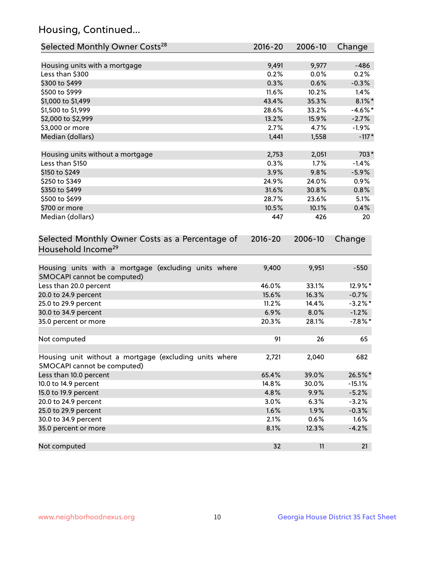## Housing, Continued...

| Selected Monthly Owner Costs <sup>28</sup>                                            | 2016-20     | 2006-10 | Change     |
|---------------------------------------------------------------------------------------|-------------|---------|------------|
| Housing units with a mortgage                                                         | 9,491       | 9,977   | $-486$     |
| Less than \$300                                                                       | 0.2%        | 0.0%    | 0.2%       |
| \$300 to \$499                                                                        | 0.3%        | 0.6%    | $-0.3%$    |
| \$500 to \$999                                                                        | 11.6%       | 10.2%   | 1.4%       |
| \$1,000 to \$1,499                                                                    | 43.4%       | 35.3%   | $8.1\%$ *  |
| \$1,500 to \$1,999                                                                    | 28.6%       | 33.2%   | $-4.6\%$ * |
| \$2,000 to \$2,999                                                                    | 13.2%       | 15.9%   | $-2.7%$    |
| \$3,000 or more                                                                       | 2.7%        | 4.7%    | $-1.9%$    |
| Median (dollars)                                                                      | 1,441       | 1,558   | $-117*$    |
|                                                                                       |             |         |            |
| Housing units without a mortgage                                                      | 2,753       | 2,051   | 703*       |
| Less than \$150                                                                       | 0.3%        | $1.7\%$ | $-1.4%$    |
| \$150 to \$249                                                                        | 3.9%        | 9.8%    | $-5.9%$    |
| \$250 to \$349                                                                        | 24.9%       | 24.0%   | 0.9%       |
| \$350 to \$499                                                                        | 31.6%       | 30.8%   | 0.8%       |
| \$500 to \$699                                                                        | 28.7%       | 23.6%   | 5.1%       |
| \$700 or more                                                                         | 10.5%       | 10.1%   | 0.4%       |
| Median (dollars)                                                                      | 447         | 426     | 20         |
| Selected Monthly Owner Costs as a Percentage of<br>Household Income <sup>29</sup>     | $2016 - 20$ | 2006-10 | Change     |
| Housing units with a mortgage (excluding units where<br>SMOCAPI cannot be computed)   | 9,400       | 9,951   | $-550$     |
| Less than 20.0 percent                                                                | 46.0%       | 33.1%   | 12.9%*     |
| 20.0 to 24.9 percent                                                                  | 15.6%       | 16.3%   | $-0.7%$    |
| 25.0 to 29.9 percent                                                                  | 11.2%       | 14.4%   | $-3.2\%$ * |
| 30.0 to 34.9 percent                                                                  | 6.9%        | 8.0%    | $-1.2%$    |
| 35.0 percent or more                                                                  | 20.3%       | 28.1%   | $-7.8%$ *  |
| Not computed                                                                          | 91          | 26      | 65         |
| Housing unit without a mortgage (excluding units where<br>SMOCAPI cannot be computed) | 2,721       | 2,040   | 682        |
| Less than 10.0 percent                                                                | 65.4%       | 39.0%   | 26.5%*     |
| 10.0 to 14.9 percent                                                                  | 14.8%       | 30.0%   | $-15.1%$   |
| 15.0 to 19.9 percent                                                                  | 4.8%        | 9.9%    | $-5.2%$    |
| 20.0 to 24.9 percent                                                                  | 3.0%        | 6.3%    | $-3.2%$    |
| 25.0 to 29.9 percent                                                                  | 1.6%        | 1.9%    | $-0.3%$    |
| 30.0 to 34.9 percent                                                                  | 2.1%        | 0.6%    | 1.6%       |
| 35.0 percent or more                                                                  | 8.1%        | 12.3%   | $-4.2%$    |
| Not computed                                                                          | 32          | 11      | 21         |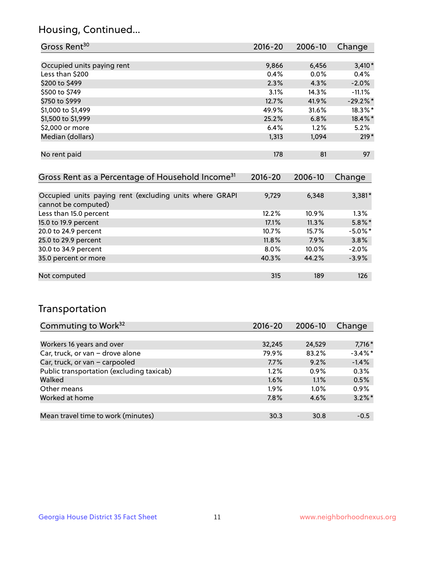### Housing, Continued...

| Gross Rent <sup>30</sup>                                     | 2016-20     | 2006-10     | Change     |
|--------------------------------------------------------------|-------------|-------------|------------|
|                                                              |             |             |            |
| Occupied units paying rent                                   | 9,866       | 6,456       | $3,410*$   |
| Less than \$200                                              | 0.4%        | $0.0\%$     | 0.4%       |
| \$200 to \$499                                               | 2.3%        | 4.3%        | $-2.0\%$   |
| \$500 to \$749                                               | 3.1%        | 14.3%       | $-11.1%$   |
| \$750 to \$999                                               | 12.7%       | 41.9%       | $-29.2%$ * |
| \$1,000 to \$1,499                                           | 49.9%       | 31.6%       | 18.3%*     |
| \$1,500 to \$1,999                                           | 25.2%       | 6.8%        | 18.4%*     |
| \$2,000 or more                                              | 6.4%        | 1.2%        | 5.2%       |
| Median (dollars)                                             | 1,313       | 1,094       | $219*$     |
|                                                              |             |             |            |
| No rent paid                                                 | 178         | 81          | 97         |
|                                                              |             |             |            |
| Gross Rent as a Percentage of Household Income <sup>31</sup> | $2016 - 20$ | $2006 - 10$ | Change     |

| Occupied units paying rent (excluding units where GRAPI<br>cannot be computed) | 9,729   | 6,348    | $3,381*$   |
|--------------------------------------------------------------------------------|---------|----------|------------|
| Less than 15.0 percent                                                         | 12.2%   | $10.9\%$ | 1.3%       |
| 15.0 to 19.9 percent                                                           | 17.1%   | 11.3%    | $5.8\%$ *  |
| 20.0 to 24.9 percent                                                           | 10.7%   | 15.7%    | $-5.0\%$ * |
| 25.0 to 29.9 percent                                                           | 11.8%   | 7.9%     | 3.8%       |
| 30.0 to 34.9 percent                                                           | $8.0\%$ | 10.0%    | $-2.0%$    |
| 35.0 percent or more                                                           | 40.3%   | 44.2%    | $-3.9%$    |
|                                                                                |         |          |            |
| Not computed                                                                   | 315     | 189      | 126        |

### Transportation

| Commuting to Work <sup>32</sup>           | 2016-20 | 2006-10 | Change     |
|-------------------------------------------|---------|---------|------------|
|                                           |         |         |            |
| Workers 16 years and over                 | 32,245  | 24,529  | $7,716*$   |
| Car, truck, or van - drove alone          | 79.9%   | 83.2%   | $-3.4\%$ * |
| Car, truck, or van - carpooled            | 7.7%    | 9.2%    | $-1.4%$    |
| Public transportation (excluding taxicab) | 1.2%    | $0.9\%$ | 0.3%       |
| Walked                                    | 1.6%    | 1.1%    | 0.5%       |
| Other means                               | $1.9\%$ | $1.0\%$ | 0.9%       |
| Worked at home                            | 7.8%    | 4.6%    | $3.2\%$ *  |
|                                           |         |         |            |
| Mean travel time to work (minutes)        | 30.3    | 30.8    | $-0.5$     |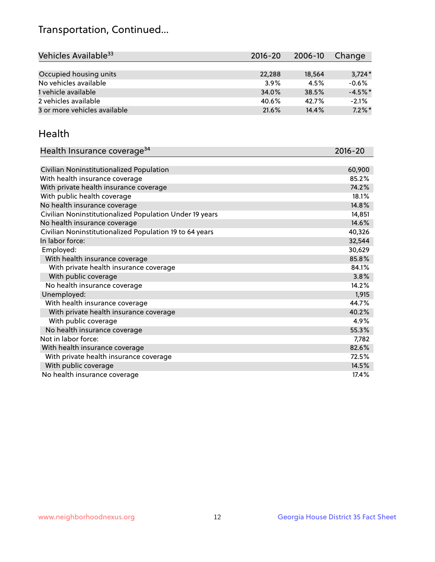## Transportation, Continued...

| Vehicles Available <sup>33</sup> | $2016 - 20$ | 2006-10 | Change    |
|----------------------------------|-------------|---------|-----------|
|                                  |             |         |           |
| Occupied housing units           | 22,288      | 18,564  | $3,724*$  |
| No vehicles available            | 3.9%        | 4.5%    | $-0.6%$   |
| 1 vehicle available              | 34.0%       | 38.5%   | $-4.5%$ * |
| 2 vehicles available             | 40.6%       | 42.7%   | $-2.1%$   |
| 3 or more vehicles available     | 21.6%       | 14.4%   | $7.2\%$ * |

#### Health

| Health Insurance coverage <sup>34</sup>                 | 2016-20 |
|---------------------------------------------------------|---------|
|                                                         |         |
| Civilian Noninstitutionalized Population                | 60,900  |
| With health insurance coverage                          | 85.2%   |
| With private health insurance coverage                  | 74.2%   |
| With public health coverage                             | 18.1%   |
| No health insurance coverage                            | 14.8%   |
| Civilian Noninstitutionalized Population Under 19 years | 14,851  |
| No health insurance coverage                            | 14.6%   |
| Civilian Noninstitutionalized Population 19 to 64 years | 40,326  |
| In labor force:                                         | 32,544  |
| Employed:                                               | 30,629  |
| With health insurance coverage                          | 85.8%   |
| With private health insurance coverage                  | 84.1%   |
| With public coverage                                    | 3.8%    |
| No health insurance coverage                            | 14.2%   |
| Unemployed:                                             | 1,915   |
| With health insurance coverage                          | 44.7%   |
| With private health insurance coverage                  | 40.2%   |
| With public coverage                                    | 4.9%    |
| No health insurance coverage                            | 55.3%   |
| Not in labor force:                                     | 7,782   |
| With health insurance coverage                          | 82.6%   |
| With private health insurance coverage                  | 72.5%   |
| With public coverage                                    | 14.5%   |
| No health insurance coverage                            | 17.4%   |